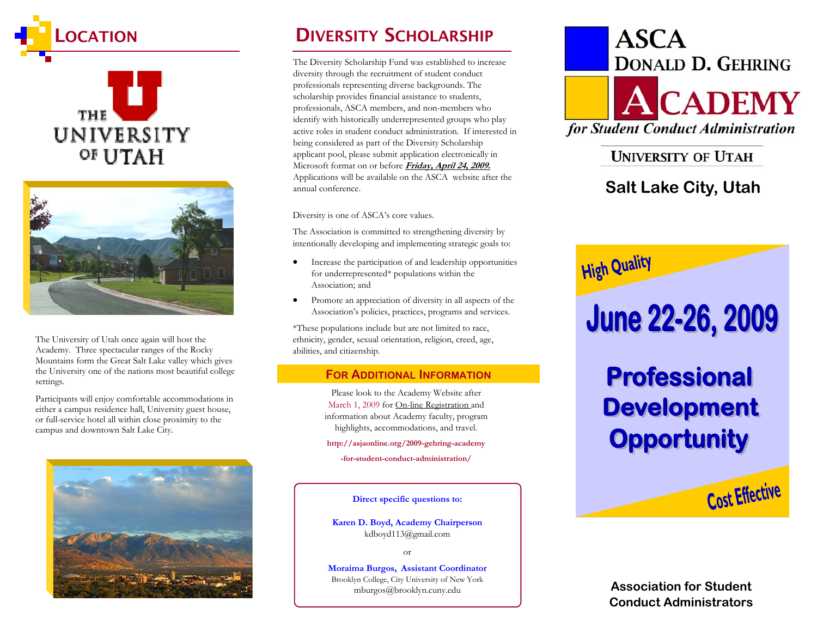





The University of Utah once again will host the Academy. Three spectacular ranges of the Rocky Mountains form the Great Salt Lake valley which gives the University one of the nations most beautiful college settings.

Participants will enjoy comfortable accommodations in either a campus residence hall, University guest house, or full-service hotel all within close proximity to the campus and downtown Salt Lake City.



## DIVERSITY SCHOLARSHIP

The Diversity Scholarship Fund was established to increase diversity through the recruitment of student conduct professionals representing diverse backgrounds. The scholarship provides financial assistance to students, professionals, ASCA members, and non-members who identify with historically underrepresented groups who play active roles in student conduct administration. If interested in being considered as part of the Diversity Scholarship applicant pool, please submit application electronically in Microsoft format on or before **Friday, April 24, 2009.** Applications will be available on the ASCA website after the annual conference.

Diversity is one of ASCA's core values.

The Association is committed to strengthening diversity by intentionally developing and implementing strategic goals to:

- Increase the participation of and leadership opportunities for underrepresented\* populations within the Association; and
- Promote an appreciation of diversity in all aspects of the Association's policies, practices, programs and services.

\*These populations include but are not limited to race, ethnicity, gender, sexual orientation, religion, creed, age, abilities, and citizenship.

#### **FOR ADDITIONAL INFORMATION**

Please look to the Academy Website after March 1, 2009 for On-line Registration and information about Academy faculty, program highlights, accommodations, and travel.

**http://asjaonline.org/2009-gehring-academy** 

**-for-student-conduct-administration/** 

**Direct specific questions to:** 

**Karen D. Boyd, Academy Chairperson** kdboyd113@gmail.com

or

**Moraima Burgos, Assistant Coordinator** Brooklyn College, City University of New York mburgos@brooklyn.cuny.edu



## **UNIVERSITY OF UTAH**

## **Salt Lake City, Utah**



**Association for Student Conduct Administrators**